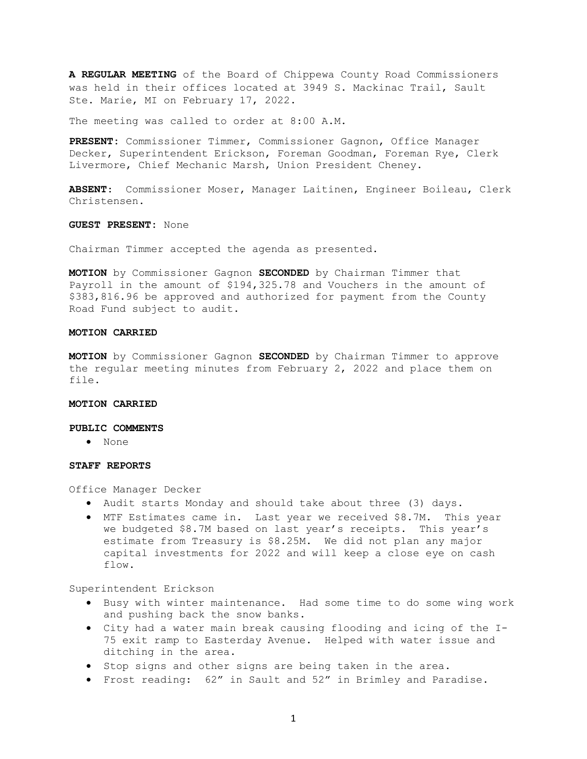A REGULAR MEETING of the Board of Chippewa County Road Commissioners was held in their offices located at 3949 S. Mackinac Trail, Sault Ste. Marie, MI on February 17, 2022.

The meeting was called to order at 8:00 A.M.

PRESENT: Commissioner Timmer, Commissioner Gagnon, Office Manager Decker, Superintendent Erickson, Foreman Goodman, Foreman Rye, Clerk Livermore, Chief Mechanic Marsh, Union President Cheney.

ABSENT: Commissioner Moser, Manager Laitinen, Engineer Boileau, Clerk Christensen.

GUEST PRESENT: None

Chairman Timmer accepted the agenda as presented.

MOTION by Commissioner Gagnon SECONDED by Chairman Timmer that Payroll in the amount of \$194,325.78 and Vouchers in the amount of \$383,816.96 be approved and authorized for payment from the County Road Fund subject to audit.

### MOTION CARRIED

MOTION by Commissioner Gagnon SECONDED by Chairman Timmer to approve the regular meeting minutes from February 2, 2022 and place them on file.

#### MOTION CARRIED

#### PUBLIC COMMENTS

None

#### STAFF REPORTS

Office Manager Decker

- Audit starts Monday and should take about three (3) days.
- MTF Estimates came in. Last year we received \$8.7M. This year we budgeted \$8.7M based on last year's receipts. This year's estimate from Treasury is \$8.25M. We did not plan any major capital investments for 2022 and will keep a close eye on cash flow.

Superintendent Erickson

- Busy with winter maintenance. Had some time to do some wing work and pushing back the snow banks.
- City had a water main break causing flooding and icing of the I-75 exit ramp to Easterday Avenue. Helped with water issue and ditching in the area.
- Stop signs and other signs are being taken in the area.
- Frost reading: 62" in Sault and 52" in Brimley and Paradise.